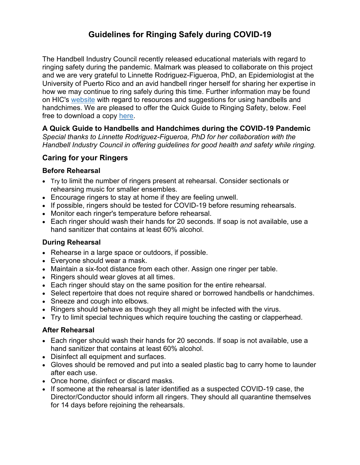# **Guidelines for Ringing Safely during COVID-19**

The Handbell Industry Council recently released educational materials with regard to ringing safety during the pandemic. Malmark was pleased to collaborate on this project and we are very grateful to Linnette Rodriguez-Figueroa, PhD, an Epidemiologist at the University of Puerto Rico and an avid handbell ringer herself for sharing her expertise in how we may continue to ring safely during this time. Further information may be found on HIC's [website](https://handbellindustrycouncil.org/covid-19-information-2/) with regard to resources and suggestions for using handbells and handchimes. We are pleased to offer the Quick Guide to Ringing Safety, below. Feel free to download a copy [here.](https://www.malmark.com/cmsadmin/uploads/ringing-safety-during-covid-19.pdf)

### **A Quick Guide to Handbells and Handchimes during the COVID-19 Pandemic**

*Special thanks to Linnette Rodriguez-Figueroa, PhD for her collaboration with the Handbell Industry Council in offering guidelines for good health and safety while ringing.*

## **Caring for your Ringers**

#### **Before Rehearsal**

- Try to limit the number of ringers present at rehearsal. Consider sectionals or rehearsing music for smaller ensembles.
- Encourage ringers to stay at home if they are feeling unwell.
- If possible, ringers should be tested for COVID-19 before resuming rehearsals.
- Monitor each ringer's temperature before rehearsal.
- Each ringer should wash their hands for 20 seconds. If soap is not available, use a hand sanitizer that contains at least 60% alcohol.

#### **During Rehearsal**

- Rehearse in a large space or outdoors, if possible.
- Everyone should wear a mask.
- Maintain a six-foot distance from each other. Assign one ringer per table.
- Ringers should wear gloves at all times.
- Each ringer should stay on the same position for the entire rehearsal.
- Select repertoire that does not require shared or borrowed handbells or handchimes.
- Sneeze and cough into elbows.
- Ringers should behave as though they all might be infected with the virus.
- Try to limit special techniques which require touching the casting or clapperhead.

#### **After Rehearsal**

- Each ringer should wash their hands for 20 seconds. If soap is not available, use a hand sanitizer that contains at least 60% alcohol.
- Disinfect all equipment and surfaces.
- Gloves should be removed and put into a sealed plastic bag to carry home to launder after each use.
- Once home, disinfect or discard masks.
- If someone at the rehearsal is later identified as a suspected COVID-19 case, the Director/Conductor should inform all ringers. They should all quarantine themselves for 14 days before rejoining the rehearsals.